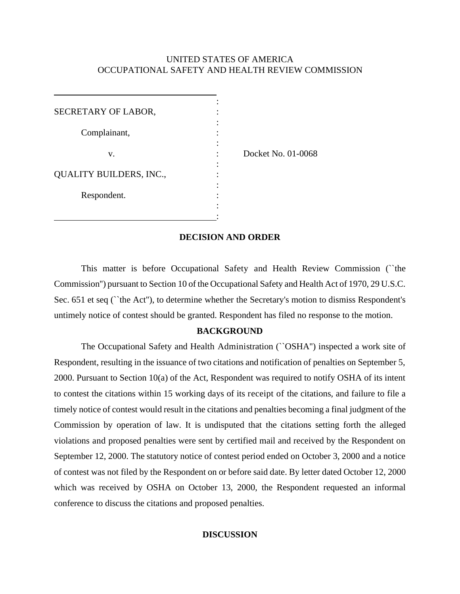# UNITED STATES OF AMERICA OCCUPATIONAL SAFETY AND HEALTH REVIEW COMMISSION

| SECRETARY OF LABOR,            |  |
|--------------------------------|--|
| Complainant,                   |  |
| v.                             |  |
| <b>QUALITY BUILDERS, INC.,</b> |  |
| Respondent.                    |  |
|                                |  |

Docket No. 01-0068

# **DECISION AND ORDER**

This matter is before Occupational Safety and Health Review Commission (``the Commission'') pursuant to Section 10 of the Occupational Safety and Health Act of 1970, 29 U.S.C. Sec. 651 et seq (``the Act''), to determine whether the Secretary's motion to dismiss Respondent's untimely notice of contest should be granted. Respondent has filed no response to the motion.

#### **BACKGROUND**

The Occupational Safety and Health Administration (``OSHA'') inspected a work site of Respondent, resulting in the issuance of two citations and notification of penalties on September 5, 2000. Pursuant to Section 10(a) of the Act, Respondent was required to notify OSHA of its intent to contest the citations within 15 working days of its receipt of the citations, and failure to file a timely notice of contest would result in the citations and penalties becoming a final judgment of the Commission by operation of law. It is undisputed that the citations setting forth the alleged violations and proposed penalties were sent by certified mail and received by the Respondent on September 12, 2000. The statutory notice of contest period ended on October 3, 2000 and a notice of contest was not filed by the Respondent on or before said date. By letter dated October 12, 2000 which was received by OSHA on October 13, 2000, the Respondent requested an informal conference to discuss the citations and proposed penalties.

## **DISCUSSION**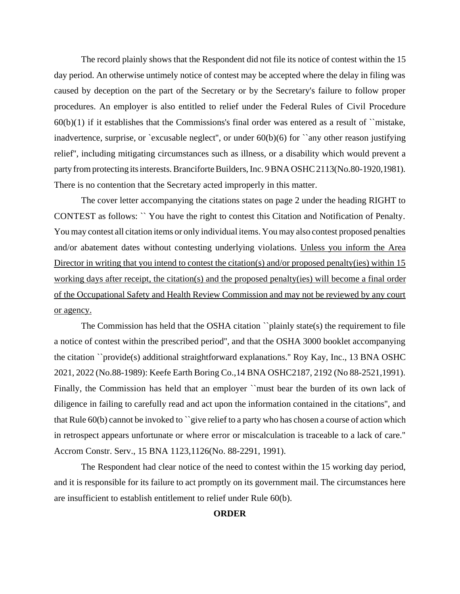The record plainly shows that the Respondent did not file its notice of contest within the 15 day period. An otherwise untimely notice of contest may be accepted where the delay in filing was caused by deception on the part of the Secretary or by the Secretary's failure to follow proper procedures. An employer is also entitled to relief under the Federal Rules of Civil Procedure  $60(b)(1)$  if it establishes that the Commissions's final order was entered as a result of  $\degree$  mistake, inadvertence, surprise, or `excusable neglect'', or under  $60(b)(6)$  for ``any other reason justifying relief'', including mitigating circumstances such as illness, or a disability which would prevent a party from protecting its interests. Branciforte Builders, Inc. 9 BNA OSHC 2113(No.80-1920,1981). There is no contention that the Secretary acted improperly in this matter.

The cover letter accompanying the citations states on page 2 under the heading RIGHT to CONTEST as follows: `` You have the right to contest this Citation and Notification of Penalty. You may contest all citation items or only individual items. You may also contest proposed penalties and/or abatement dates without contesting underlying violations. Unless you inform the Area Director in writing that you intend to contest the citation(s) and/or proposed penalty(ies) within 15 working days after receipt, the citation(s) and the proposed penalty(ies) will become a final order of the Occupational Safety and Health Review Commission and may not be reviewed by any court or agency.

The Commission has held that the OSHA citation ``plainly state(s) the requirement to file a notice of contest within the prescribed period'', and that the OSHA 3000 booklet accompanying the citation ``provide(s) additional straightforward explanations.'' Roy Kay, Inc., 13 BNA OSHC 2021, 2022 (No.88-1989): Keefe Earth Boring Co.,14 BNA OSHC2187, 2192 (No 88-2521,1991). Finally, the Commission has held that an employer "must bear the burden of its own lack of diligence in failing to carefully read and act upon the information contained in the citations'', and that Rule 60(b) cannot be invoked to ``give relief to a party who has chosen a course of action which in retrospect appears unfortunate or where error or miscalculation is traceable to a lack of care.'' Accrom Constr. Serv., 15 BNA 1123,1126(No. 88-2291, 1991).

The Respondent had clear notice of the need to contest within the 15 working day period, and it is responsible for its failure to act promptly on its government mail. The circumstances here are insufficient to establish entitlement to relief under Rule 60(b).

## **ORDER**